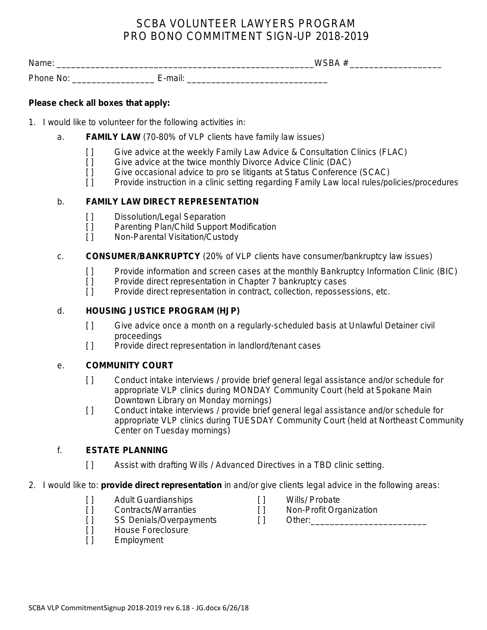# SCBA VOLUNTEER LAWYERS PROGRAM PRO BONO COMMITMENT SIGN-UP 2018-2019

Name: \_\_\_\_\_\_\_\_\_\_\_\_\_\_\_\_\_\_\_\_\_\_\_\_\_\_\_\_\_\_\_\_\_\_\_\_\_\_\_\_\_\_\_\_\_\_\_\_\_\_\_\_\_WSBA # \_\_\_\_\_\_\_\_\_\_\_\_\_\_\_\_\_\_\_ Phone No: **E-mail:**  $E$ -mail:  $E$ -mail:  $E$ -mail:  $E$ -mail:  $E$ -mail:  $E$ -mail:  $E$ -mail:  $E$ -mail:  $E$ -mail:  $E$ -mail:  $E$ -mail:  $E$ -mail:  $E$ -mail:  $E$ -mail:  $E$ -mail:  $E$ -mail:  $E$ -mail:  $E$ -mail:  $E$ -mail:  $E$ -mail:  $E$ 

## **Please check all boxes that apply:**

- 1. I would like to volunteer for the following activities in:
	- a. **FAMILY LAW** (70-80% of VLP clients have family law issues)
		- [ ] Give advice at the weekly Family Law Advice & Consultation Clinics (FLAC)
		- [ ] Give advice at the twice monthly Divorce Advice Clinic (DAC)
		- [ ] Give occasional advice to pro se litigants at Status Conference (SCAC)
		- [ ] Provide instruction in a clinic setting regarding Family Law local rules/policies/procedures

# b. **FAMILY LAW DIRECT REPRESENTATION**

- [ ] Dissolution/Legal Separation
- [ ] Parenting Plan/Child Support Modification
- [ ] Non-Parental Visitation/Custody

#### c. **CONSUMER/BANKRUPTCY** (20% of VLP clients have consumer/bankruptcy law issues)

- [ ] Provide information and screen cases at the monthly Bankruptcy Information Clinic (BIC)
- [] Provide direct representation in Chapter 7 bankruptcy cases
- [ ] Provide direct representation in contract, collection, repossessions, etc.

## d. **HOUSING JUSTICE PROGRAM (HJP)**

- [ ] Give advice once a month on a regularly-scheduled basis at Unlawful Detainer civil proceedings
- [] Provide direct representation in landlord/tenant cases

#### e. **COMMUNITY COURT**

- [ ] Conduct intake interviews / provide brief general legal assistance and/or schedule for appropriate VLP clinics during MONDAY Community Court (held at Spokane Main Downtown Library on Monday mornings)
- [ ] Conduct intake interviews / provide brief general legal assistance and/or schedule for appropriate VLP clinics during TUESDAY Community Court (held at Northeast Community Center on Tuesday mornings)

# f. **ESTATE PLANNING**

- [ ] Assist with drafting Wills / Advanced Directives in a TBD clinic setting.
- 2. I would like to: **provide direct representation** in and/or give clients legal advice in the following areas:
	- [ ] Adult Guardianships [ ] Wills/ Probate
	- [ ] Contracts/Warranties [ ] Non-Profit Organization
	- [ ] SS Denials/Overpayments [ ] Other:
	- [ ] House Foreclosure
	- [ ] Employment
- 
- -